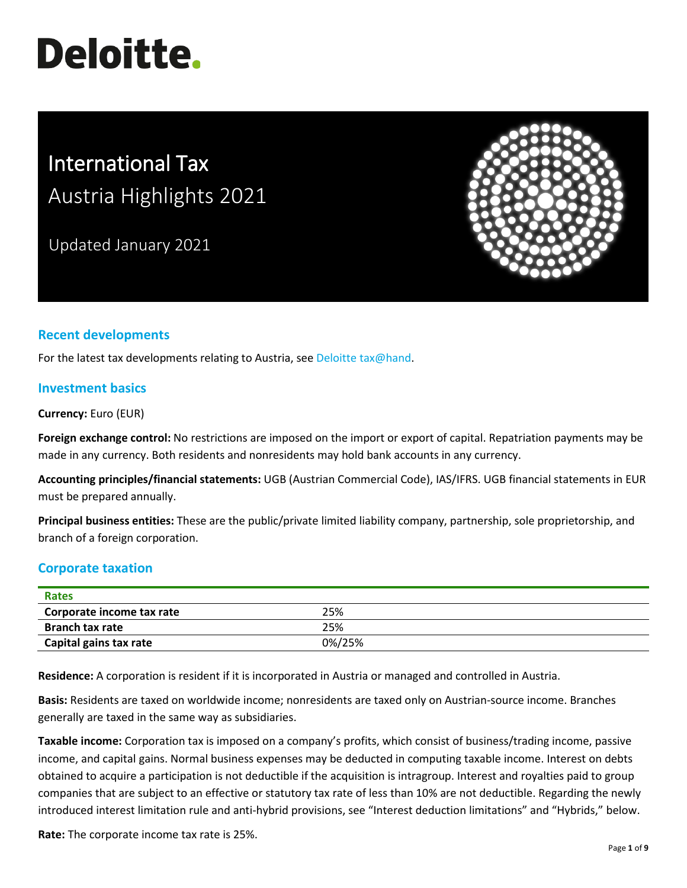# **Deloitte.**

# International Tax Austria Highlights 2021

Updated January 2021



# **Recent developments**

For the latest tax developments relating to Austria, see [Deloitte tax@hand.](https://www.taxathand.com/world-news/Austria)

# **Investment basics**

**Currency:** Euro (EUR)

**Foreign exchange control:** No restrictions are imposed on the import or export of capital. Repatriation payments may be made in any currency. Both residents and nonresidents may hold bank accounts in any currency.

**Accounting principles/financial statements:** UGB (Austrian Commercial Code), IAS/IFRS. UGB financial statements in EUR must be prepared annually.

**Principal business entities:** These are the public/private limited liability company, partnership, sole proprietorship, and branch of a foreign corporation.

# **Corporate taxation**

| Rates                     |        |
|---------------------------|--------|
| Corporate income tax rate | 25%    |
| <b>Branch tax rate</b>    | 25%    |
| Capital gains tax rate    | 0%/25% |

**Residence:** A corporation is resident if it is incorporated in Austria or managed and controlled in Austria.

**Basis:** Residents are taxed on worldwide income; nonresidents are taxed only on Austrian-source income. Branches generally are taxed in the same way as subsidiaries.

**Taxable income:** Corporation tax is imposed on a company's profits, which consist of business/trading income, passive income, and capital gains. Normal business expenses may be deducted in computing taxable income. Interest on debts obtained to acquire a participation is not deductible if the acquisition is intragroup. Interest and royalties paid to group companies that are subject to an effective or statutory tax rate of less than 10% are not deductible. Regarding the newly introduced interest limitation rule and anti-hybrid provisions, see "Interest deduction limitations" and "Hybrids," below.

**Rate:** The corporate income tax rate is 25%.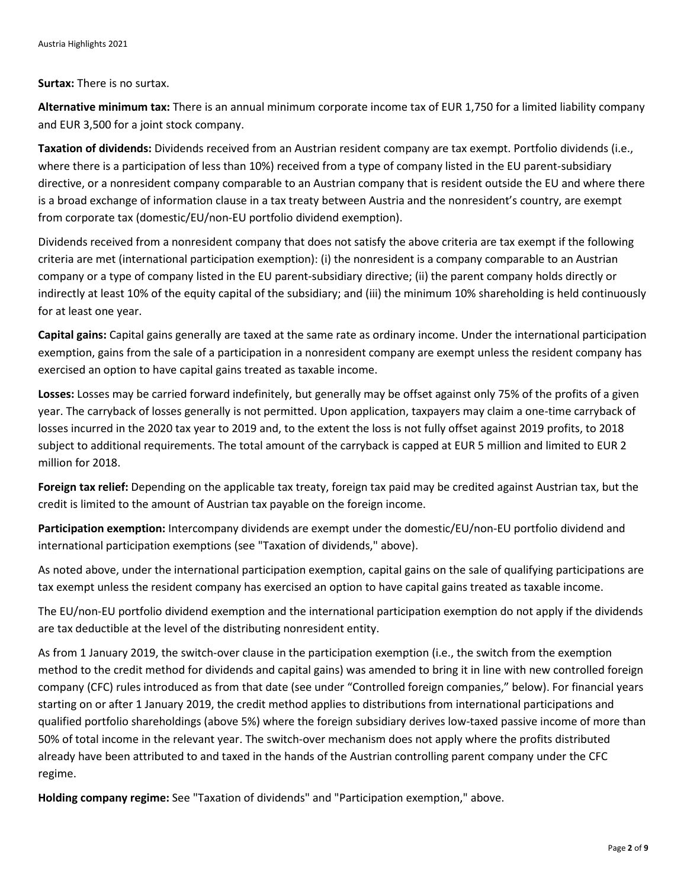**Surtax:** There is no surtax.

**Alternative minimum tax:** There is an annual minimum corporate income tax of EUR 1,750 for a limited liability company and EUR 3,500 for a joint stock company.

**Taxation of dividends:** Dividends received from an Austrian resident company are tax exempt. Portfolio dividends (i.e., where there is a participation of less than 10%) received from a type of company listed in the EU parent-subsidiary directive, or a nonresident company comparable to an Austrian company that is resident outside the EU and where there is a broad exchange of information clause in a tax treaty between Austria and the nonresident's country, are exempt from corporate tax (domestic/EU/non-EU portfolio dividend exemption).

Dividends received from a nonresident company that does not satisfy the above criteria are tax exempt if the following criteria are met (international participation exemption): (i) the nonresident is a company comparable to an Austrian company or a type of company listed in the EU parent-subsidiary directive; (ii) the parent company holds directly or indirectly at least 10% of the equity capital of the subsidiary; and (iii) the minimum 10% shareholding is held continuously for at least one year.

**Capital gains:** Capital gains generally are taxed at the same rate as ordinary income. Under the international participation exemption, gains from the sale of a participation in a nonresident company are exempt unless the resident company has exercised an option to have capital gains treated as taxable income.

**Losses:** Losses may be carried forward indefinitely, but generally may be offset against only 75% of the profits of a given year. The carryback of losses generally is not permitted. Upon application, taxpayers may claim a one-time carryback of losses incurred in the 2020 tax year to 2019 and, to the extent the loss is not fully offset against 2019 profits, to 2018 subject to additional requirements. The total amount of the carryback is capped at EUR 5 million and limited to EUR 2 million for 2018.

**Foreign tax relief:** Depending on the applicable tax treaty, foreign tax paid may be credited against Austrian tax, but the credit is limited to the amount of Austrian tax payable on the foreign income.

**Participation exemption:** Intercompany dividends are exempt under the domestic/EU/non-EU portfolio dividend and international participation exemptions (see "Taxation of dividends," above).

As noted above, under the international participation exemption, capital gains on the sale of qualifying participations are tax exempt unless the resident company has exercised an option to have capital gains treated as taxable income.

The EU/non-EU portfolio dividend exemption and the international participation exemption do not apply if the dividends are tax deductible at the level of the distributing nonresident entity.

As from 1 January 2019, the switch-over clause in the participation exemption (i.e., the switch from the exemption method to the credit method for dividends and capital gains) was amended to bring it in line with new controlled foreign company (CFC) rules introduced as from that date (see under "Controlled foreign companies," below). For financial years starting on or after 1 January 2019, the credit method applies to distributions from international participations and qualified portfolio shareholdings (above 5%) where the foreign subsidiary derives low-taxed passive income of more than 50% of total income in the relevant year. The switch-over mechanism does not apply where the profits distributed already have been attributed to and taxed in the hands of the Austrian controlling parent company under the CFC regime.

**Holding company regime:** See "Taxation of dividends" and "Participation exemption," above.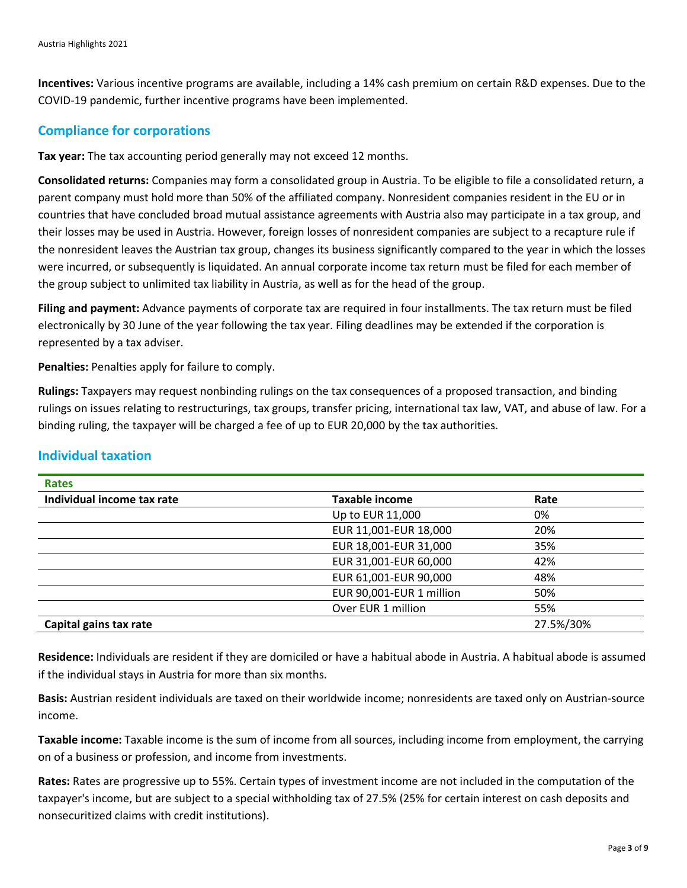**Incentives:** Various incentive programs are available, including a 14% cash premium on certain R&D expenses. Due to the COVID-19 pandemic, further incentive programs have been implemented.

#### **Compliance for corporations**

**Tax year:** The tax accounting period generally may not exceed 12 months.

**Consolidated returns:** Companies may form a consolidated group in Austria. To be eligible to file a consolidated return, a parent company must hold more than 50% of the affiliated company. Nonresident companies resident in the EU or in countries that have concluded broad mutual assistance agreements with Austria also may participate in a tax group, and their losses may be used in Austria. However, foreign losses of nonresident companies are subject to a recapture rule if the nonresident leaves the Austrian tax group, changes its business significantly compared to the year in which the losses were incurred, or subsequently is liquidated. An annual corporate income tax return must be filed for each member of the group subject to unlimited tax liability in Austria, as well as for the head of the group.

**Filing and payment:** Advance payments of corporate tax are required in four installments. The tax return must be filed electronically by 30 June of the year following the tax year. Filing deadlines may be extended if the corporation is represented by a tax adviser.

**Penalties:** Penalties apply for failure to comply.

**Rulings:** Taxpayers may request nonbinding rulings on the tax consequences of a proposed transaction, and binding rulings on issues relating to restructurings, tax groups, transfer pricing, international tax law, VAT, and abuse of law. For a binding ruling, the taxpayer will be charged a fee of up to EUR 20,000 by the tax authorities.

| <b>Rates</b>               |                          |           |
|----------------------------|--------------------------|-----------|
| Individual income tax rate | Taxable income           | Rate      |
|                            | Up to EUR 11,000         | 0%        |
|                            | EUR 11,001-EUR 18,000    | 20%       |
|                            | EUR 18,001-EUR 31,000    | 35%       |
|                            | EUR 31,001-EUR 60,000    | 42%       |
|                            | EUR 61,001-EUR 90,000    | 48%       |
|                            | EUR 90,001-EUR 1 million | 50%       |
|                            | Over EUR 1 million       | 55%       |
| Capital gains tax rate     |                          | 27.5%/30% |

#### **Individual taxation**

**Residence:** Individuals are resident if they are domiciled or have a habitual abode in Austria. A habitual abode is assumed if the individual stays in Austria for more than six months.

**Basis:** Austrian resident individuals are taxed on their worldwide income; nonresidents are taxed only on Austrian-source income.

**Taxable income:** Taxable income is the sum of income from all sources, including income from employment, the carrying on of a business or profession, and income from investments.

**Rates:** Rates are progressive up to 55%. Certain types of investment income are not included in the computation of the taxpayer's income, but are subject to a special withholding tax of 27.5% (25% for certain interest on cash deposits and nonsecuritized claims with credit institutions).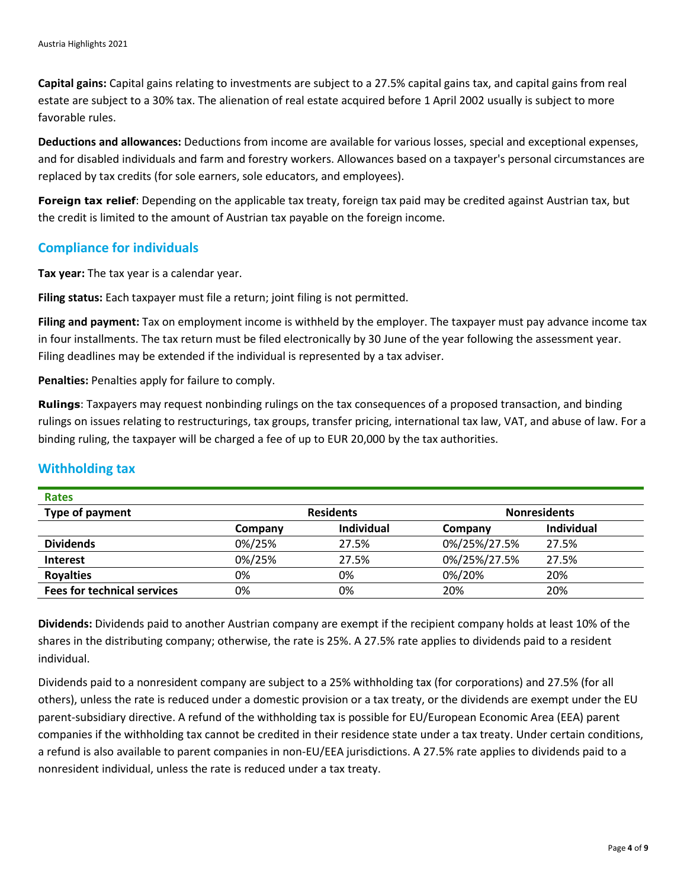**Capital gains:** Capital gains relating to investments are subject to a 27.5% capital gains tax, and capital gains from real estate are subject to a 30% tax. The alienation of real estate acquired before 1 April 2002 usually is subject to more favorable rules.

**Deductions and allowances:** Deductions from income are available for various losses, special and exceptional expenses, and for disabled individuals and farm and forestry workers. Allowances based on a taxpayer's personal circumstances are replaced by tax credits (for sole earners, sole educators, and employees).

**Foreign tax relief**: Depending on the applicable tax treaty, foreign tax paid may be credited against Austrian tax, but the credit is limited to the amount of Austrian tax payable on the foreign income.

# **Compliance for individuals**

**Tax year:** The tax year is a calendar year.

**Filing status:** Each taxpayer must file a return; joint filing is not permitted.

**Filing and payment:** Tax on employment income is withheld by the employer. The taxpayer must pay advance income tax in four installments. The tax return must be filed electronically by 30 June of the year following the assessment year. Filing deadlines may be extended if the individual is represented by a tax adviser.

**Penalties:** Penalties apply for failure to comply.

**Rulings**: Taxpayers may request nonbinding rulings on the tax consequences of a proposed transaction, and binding rulings on issues relating to restructurings, tax groups, transfer pricing, international tax law, VAT, and abuse of law. For a binding ruling, the taxpayer will be charged a fee of up to EUR 20,000 by the tax authorities.

| <b>Rates</b>                       |                  |                   |                     |            |
|------------------------------------|------------------|-------------------|---------------------|------------|
| Type of payment                    | <b>Residents</b> |                   | <b>Nonresidents</b> |            |
|                                    | Company          | <b>Individual</b> | Company             | Individual |
| <b>Dividends</b>                   | 0%/25%           | 27.5%             | 0%/25%/27.5%        | 27.5%      |
| <b>Interest</b>                    | 0%/25%           | 27.5%             | 0%/25%/27.5%        | 27.5%      |
| <b>Royalties</b>                   | 0%               | 0%                | 0%/20%              | 20%        |
| <b>Fees for technical services</b> | 0%               | 0%                | 20%                 | 20%        |

#### **Withholding tax**

**Dividends:** Dividends paid to another Austrian company are exempt if the recipient company holds at least 10% of the shares in the distributing company; otherwise, the rate is 25%. A 27.5% rate applies to dividends paid to a resident individual.

Dividends paid to a nonresident company are subject to a 25% withholding tax (for corporations) and 27.5% (for all others), unless the rate is reduced under a domestic provision or a tax treaty, or the dividends are exempt under the EU parent-subsidiary directive. A refund of the withholding tax is possible for EU/European Economic Area (EEA) parent companies if the withholding tax cannot be credited in their residence state under a tax treaty. Under certain conditions, a refund is also available to parent companies in non-EU/EEA jurisdictions. A 27.5% rate applies to dividends paid to a nonresident individual, unless the rate is reduced under a tax treaty.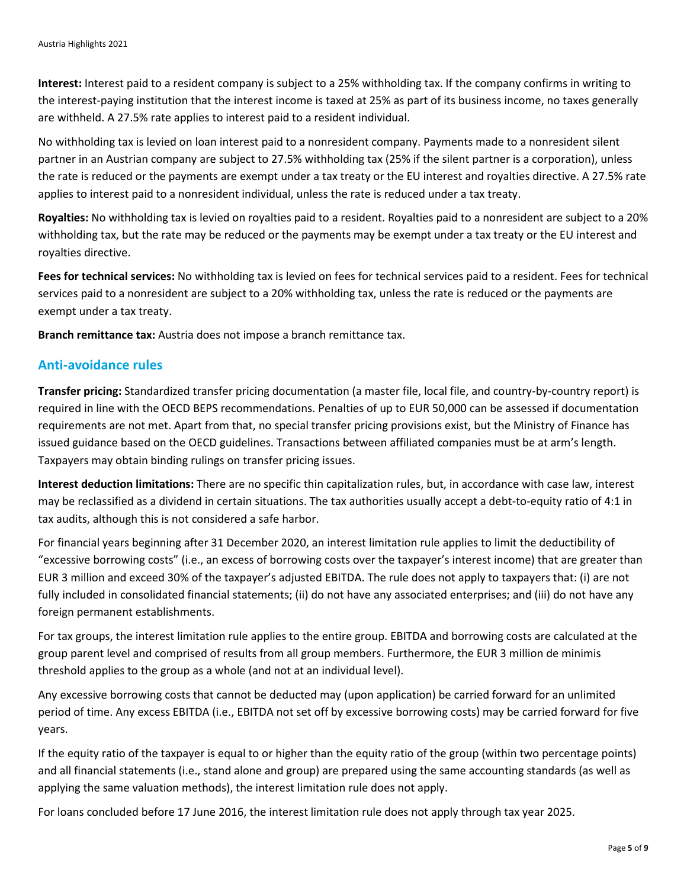**Interest:** Interest paid to a resident company is subject to a 25% withholding tax. If the company confirms in writing to the interest-paying institution that the interest income is taxed at 25% as part of its business income, no taxes generally are withheld. A 27.5% rate applies to interest paid to a resident individual.

No withholding tax is levied on loan interest paid to a nonresident company. Payments made to a nonresident silent partner in an Austrian company are subject to 27.5% withholding tax (25% if the silent partner is a corporation), unless the rate is reduced or the payments are exempt under a tax treaty or the EU interest and royalties directive. A 27.5% rate applies to interest paid to a nonresident individual, unless the rate is reduced under a tax treaty.

**Royalties:** No withholding tax is levied on royalties paid to a resident. Royalties paid to a nonresident are subject to a 20% withholding tax, but the rate may be reduced or the payments may be exempt under a tax treaty or the EU interest and royalties directive.

**Fees for technical services:** No withholding tax is levied on fees for technical services paid to a resident. Fees for technical services paid to a nonresident are subject to a 20% withholding tax, unless the rate is reduced or the payments are exempt under a tax treaty.

**Branch remittance tax:** Austria does not impose a branch remittance tax.

# **Anti-avoidance rules**

**Transfer pricing:** Standardized transfer pricing documentation (a master file, local file, and country-by-country report) is required in line with the OECD BEPS recommendations. Penalties of up to EUR 50,000 can be assessed if documentation requirements are not met. Apart from that, no special transfer pricing provisions exist, but the Ministry of Finance has issued guidance based on the OECD guidelines. Transactions between affiliated companies must be at arm's length. Taxpayers may obtain binding rulings on transfer pricing issues.

**Interest deduction limitations:** There are no specific thin capitalization rules, but, in accordance with case law, interest may be reclassified as a dividend in certain situations. The tax authorities usually accept a debt-to-equity ratio of 4:1 in tax audits, although this is not considered a safe harbor.

For financial years beginning after 31 December 2020, an interest limitation rule applies to limit the deductibility of "excessive borrowing costs" (i.e., an excess of borrowing costs over the taxpayer's interest income) that are greater than EUR 3 million and exceed 30% of the taxpayer's adjusted EBITDA. The rule does not apply to taxpayers that: (i) are not fully included in consolidated financial statements; (ii) do not have any associated enterprises; and (iii) do not have any foreign permanent establishments.

For tax groups, the interest limitation rule applies to the entire group. EBITDA and borrowing costs are calculated at the group parent level and comprised of results from all group members. Furthermore, the EUR 3 million de minimis threshold applies to the group as a whole (and not at an individual level).

Any excessive borrowing costs that cannot be deducted may (upon application) be carried forward for an unlimited period of time. Any excess EBITDA (i.e., EBITDA not set off by excessive borrowing costs) may be carried forward for five years.

If the equity ratio of the taxpayer is equal to or higher than the equity ratio of the group (within two percentage points) and all financial statements (i.e., stand alone and group) are prepared using the same accounting standards (as well as applying the same valuation methods), the interest limitation rule does not apply.

For loans concluded before 17 June 2016, the interest limitation rule does not apply through tax year 2025.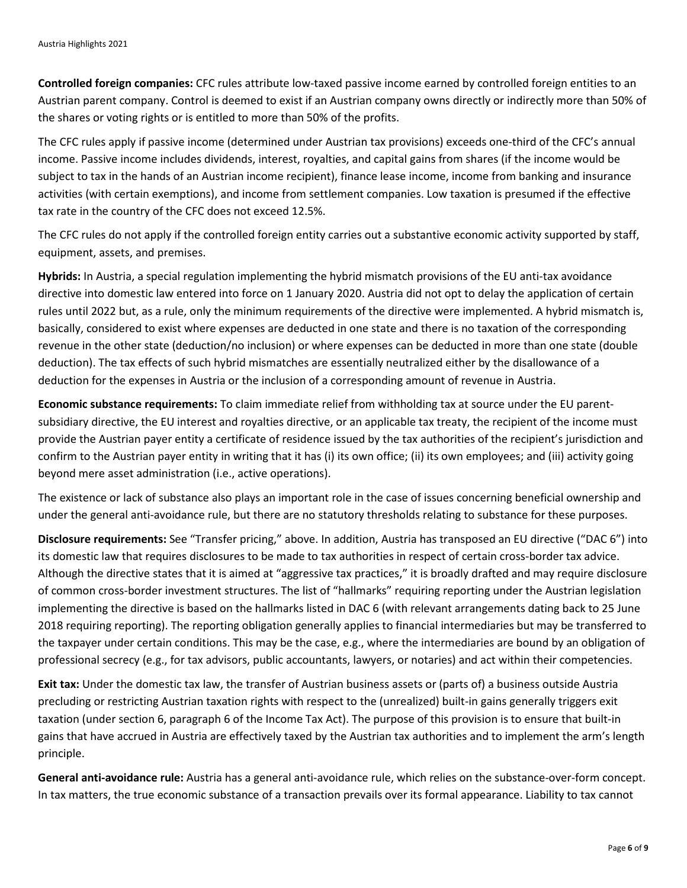**Controlled foreign companies:** CFC rules attribute low-taxed passive income earned by controlled foreign entities to an Austrian parent company. Control is deemed to exist if an Austrian company owns directly or indirectly more than 50% of the shares or voting rights or is entitled to more than 50% of the profits.

The CFC rules apply if passive income (determined under Austrian tax provisions) exceeds one-third of the CFC's annual income. Passive income includes dividends, interest, royalties, and capital gains from shares (if the income would be subject to tax in the hands of an Austrian income recipient), finance lease income, income from banking and insurance activities (with certain exemptions), and income from settlement companies. Low taxation is presumed if the effective tax rate in the country of the CFC does not exceed 12.5%.

The CFC rules do not apply if the controlled foreign entity carries out a substantive economic activity supported by staff, equipment, assets, and premises.

**Hybrids:** In Austria, a special regulation implementing the hybrid mismatch provisions of the EU anti-tax avoidance directive into domestic law entered into force on 1 January 2020. Austria did not opt to delay the application of certain rules until 2022 but, as a rule, only the minimum requirements of the directive were implemented. A hybrid mismatch is, basically, considered to exist where expenses are deducted in one state and there is no taxation of the corresponding revenue in the other state (deduction/no inclusion) or where expenses can be deducted in more than one state (double deduction). The tax effects of such hybrid mismatches are essentially neutralized either by the disallowance of a deduction for the expenses in Austria or the inclusion of a corresponding amount of revenue in Austria.

**Economic substance requirements:** To claim immediate relief from withholding tax at source under the EU parentsubsidiary directive, the EU interest and royalties directive, or an applicable tax treaty, the recipient of the income must provide the Austrian payer entity a certificate of residence issued by the tax authorities of the recipient's jurisdiction and confirm to the Austrian payer entity in writing that it has (i) its own office; (ii) its own employees; and (iii) activity going beyond mere asset administration (i.e., active operations).

The existence or lack of substance also plays an important role in the case of issues concerning beneficial ownership and under the general anti-avoidance rule, but there are no statutory thresholds relating to substance for these purposes.

**Disclosure requirements:** See "Transfer pricing," above. In addition, Austria has transposed an EU directive ("DAC 6") into its domestic law that requires disclosures to be made to tax authorities in respect of certain cross-border tax advice. Although the directive states that it is aimed at "aggressive tax practices," it is broadly drafted and may require disclosure of common cross-border investment structures. The list of "hallmarks" requiring reporting under the Austrian legislation implementing the directive is based on the hallmarks listed in DAC 6 (with relevant arrangements dating back to 25 June 2018 requiring reporting). The reporting obligation generally applies to financial intermediaries but may be transferred to the taxpayer under certain conditions. This may be the case, e.g., where the intermediaries are bound by an obligation of professional secrecy (e.g., for tax advisors, public accountants, lawyers, or notaries) and act within their competencies.

**Exit tax:** Under the domestic tax law, the transfer of Austrian business assets or (parts of) a business outside Austria precluding or restricting Austrian taxation rights with respect to the (unrealized) built-in gains generally triggers exit taxation (under section 6, paragraph 6 of the Income Tax Act). The purpose of this provision is to ensure that built-in gains that have accrued in Austria are effectively taxed by the Austrian tax authorities and to implement the arm's length principle.

**General anti-avoidance rule:** Austria has a general anti-avoidance rule, which relies on the substance-over-form concept. In tax matters, the true economic substance of a transaction prevails over its formal appearance. Liability to tax cannot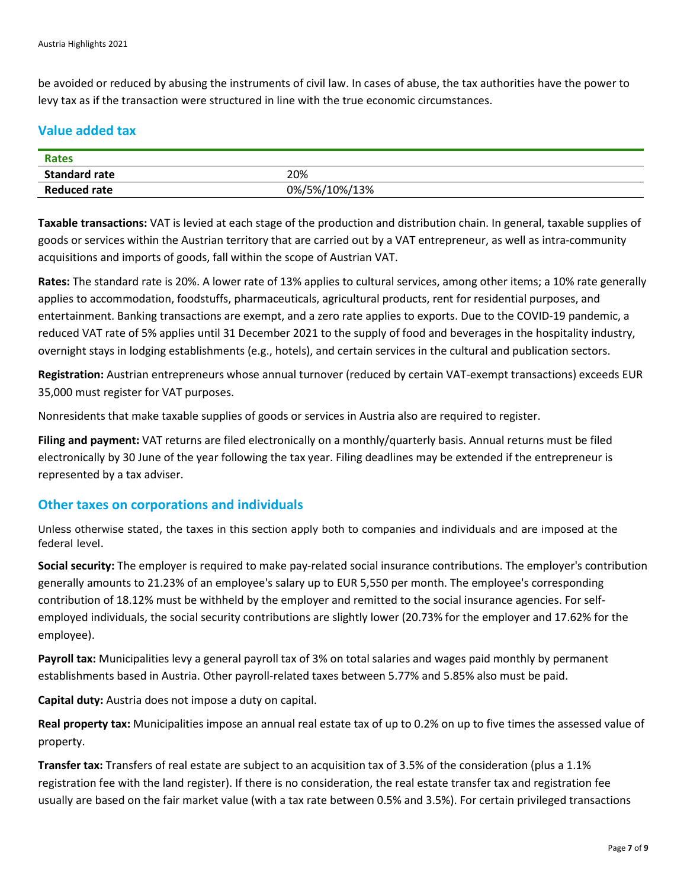be avoided or reduced by abusing the instruments of civil law. In cases of abuse, the tax authorities have the power to levy tax as if the transaction were structured in line with the true economic circumstances.

# **Value added tax**

| <b>Rates</b>         |               |
|----------------------|---------------|
| <b>Standard rate</b> | 20%           |
| <b>Reduced rate</b>  | 0%/5%/10%/13% |

**Taxable transactions:** VAT is levied at each stage of the production and distribution chain. In general, taxable supplies of goods or services within the Austrian territory that are carried out by a VAT entrepreneur, as well as intra-community acquisitions and imports of goods, fall within the scope of Austrian VAT.

**Rates:** The standard rate is 20%. A lower rate of 13% applies to cultural services, among other items; a 10% rate generally applies to accommodation, foodstuffs, pharmaceuticals, agricultural products, rent for residential purposes, and entertainment. Banking transactions are exempt, and a zero rate applies to exports. Due to the COVID-19 pandemic, a reduced VAT rate of 5% applies until 31 December 2021 to the supply of food and beverages in the hospitality industry, overnight stays in lodging establishments (e.g., hotels), and certain services in the cultural and publication sectors.

**Registration:** Austrian entrepreneurs whose annual turnover (reduced by certain VAT-exempt transactions) exceeds EUR 35,000 must register for VAT purposes.

Nonresidents that make taxable supplies of goods or services in Austria also are required to register.

**Filing and payment:** VAT returns are filed electronically on a monthly/quarterly basis. Annual returns must be filed electronically by 30 June of the year following the tax year. Filing deadlines may be extended if the entrepreneur is represented by a tax adviser.

#### **Other taxes on corporations and individuals**

Unless otherwise stated, the taxes in this section apply both to companies and individuals and are imposed at the federal level.

**Social security:** The employer is required to make pay-related social insurance contributions. The employer's contribution generally amounts to 21.23% of an employee's salary up to EUR 5,550 per month. The employee's corresponding contribution of 18.12% must be withheld by the employer and remitted to the social insurance agencies. For selfemployed individuals, the social security contributions are slightly lower (20.73% for the employer and 17.62% for the employee).

**Payroll tax:** Municipalities levy a general payroll tax of 3% on total salaries and wages paid monthly by permanent establishments based in Austria. Other payroll-related taxes between 5.77% and 5.85% also must be paid.

**Capital duty:** Austria does not impose a duty on capital.

**Real property tax:** Municipalities impose an annual real estate tax of up to 0.2% on up to five times the assessed value of property.

**Transfer tax:** Transfers of real estate are subject to an acquisition tax of 3.5% of the consideration (plus a 1.1% registration fee with the land register). If there is no consideration, the real estate transfer tax and registration fee usually are based on the fair market value (with a tax rate between 0.5% and 3.5%). For certain privileged transactions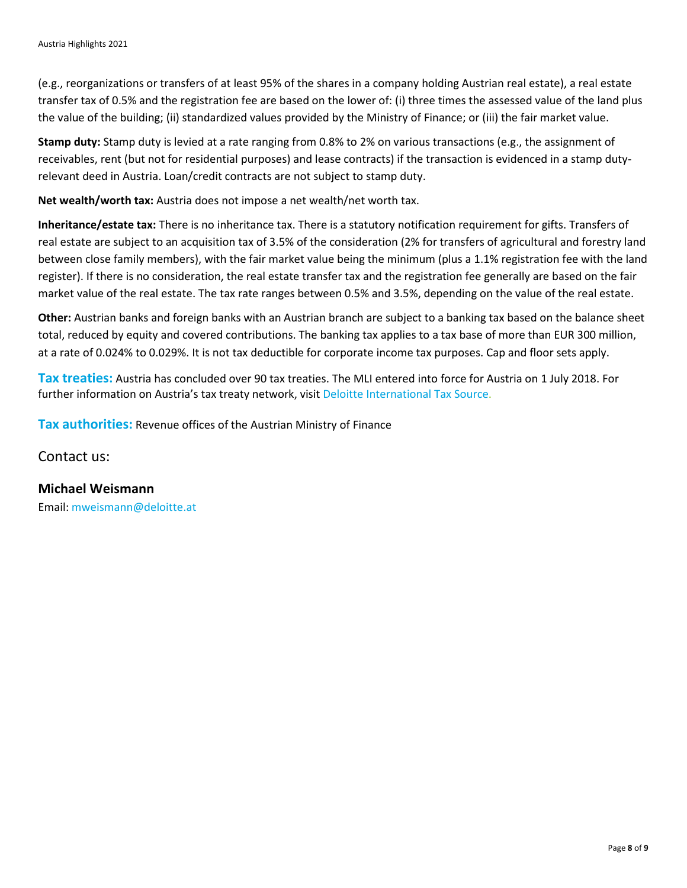(e.g., reorganizations or transfers of at least 95% of the shares in a company holding Austrian real estate), a real estate transfer tax of 0.5% and the registration fee are based on the lower of: (i) three times the assessed value of the land plus the value of the building; (ii) standardized values provided by the Ministry of Finance; or (iii) the fair market value.

**Stamp duty:** Stamp duty is levied at a rate ranging from 0.8% to 2% on various transactions (e.g., the assignment of receivables, rent (but not for residential purposes) and lease contracts) if the transaction is evidenced in a stamp dutyrelevant deed in Austria. Loan/credit contracts are not subject to stamp duty.

**Net wealth/worth tax:** Austria does not impose a net wealth/net worth tax.

**Inheritance/estate tax:** There is no inheritance tax. There is a statutory notification requirement for gifts. Transfers of real estate are subject to an acquisition tax of 3.5% of the consideration (2% for transfers of agricultural and forestry land between close family members), with the fair market value being the minimum (plus a 1.1% registration fee with the land register). If there is no consideration, the real estate transfer tax and the registration fee generally are based on the fair market value of the real estate. The tax rate ranges between 0.5% and 3.5%, depending on the value of the real estate.

**Other:** Austrian banks and foreign banks with an Austrian branch are subject to a banking tax based on the balance sheet total, reduced by equity and covered contributions. The banking tax applies to a tax base of more than EUR 300 million, at a rate of 0.024% to 0.029%. It is not tax deductible for corporate income tax purposes. Cap and floor sets apply.

**Tax treaties:** Austria has concluded over 90 tax treaties. The MLI entered into force for Austria on 1 July 2018. For further information on Austria's tax treaty network, visit [Deloitte International Tax Source.](https://dits.deloitte.com/#Jurisdiction/54)

**Tax authorities:** Revenue offices of the Austrian Ministry of Finance

Contact us:

**Michael Weismann** Email: [mweismann@deloitte.at](mailto:mweismann@deloitte.at)